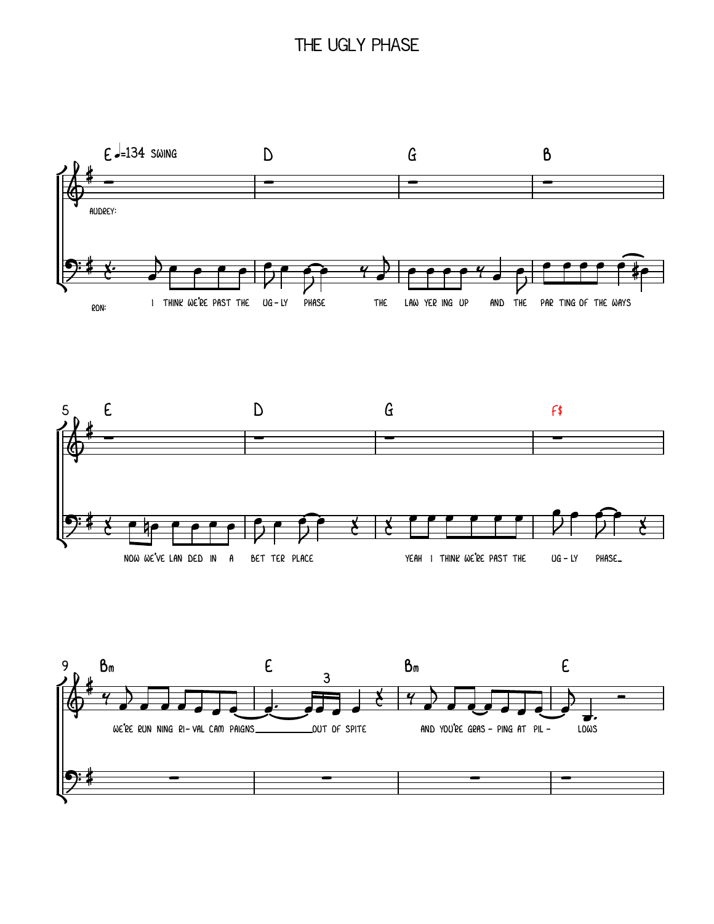## THE UGLY PHASE





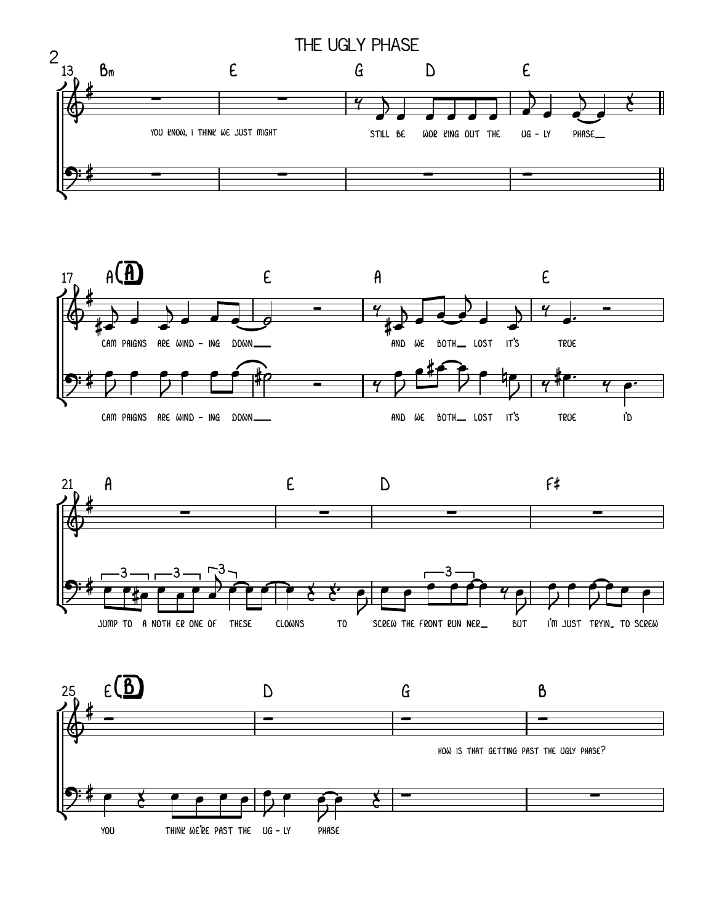





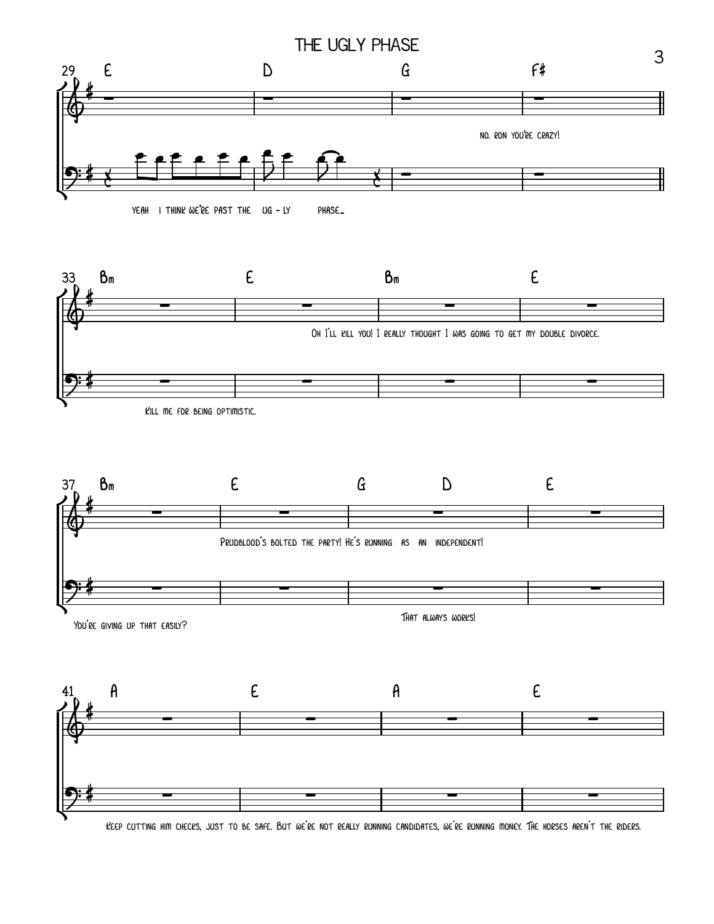





KEEP CUTTING HIM CHECKS, JUST TO BE SAFE. BUT WE'RE NOT REALLY RUNNING CANDIDATES, WE'RE RUNNING MONEY. THE HORSES AREN'T THE RIDERS.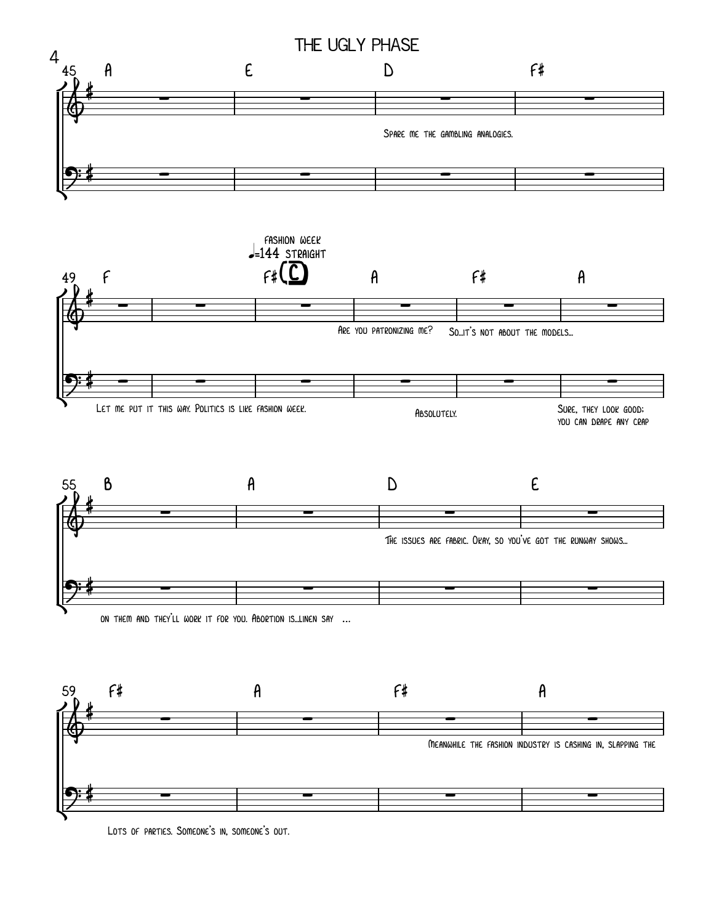

Lots of parties. Someone's in, someone's out.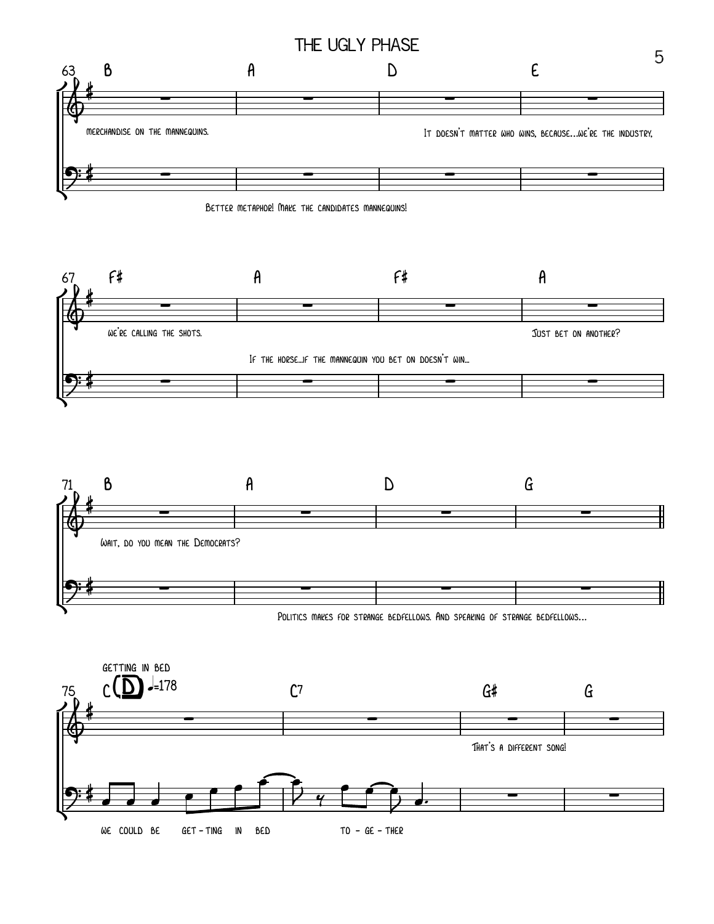





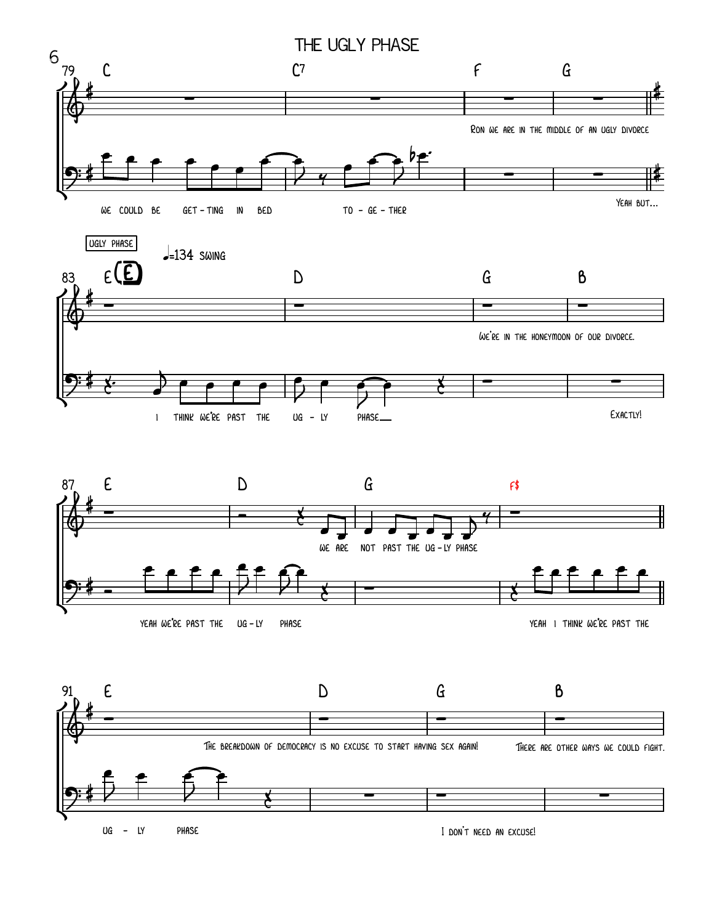